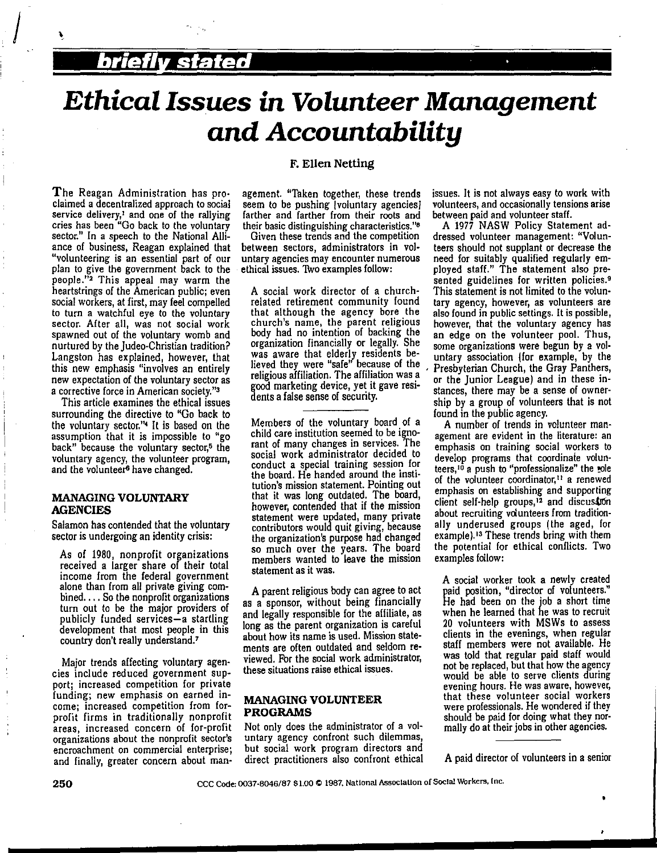## **brief/ stated** ·

 $\int_{\mathbb{R}^2}$ 

# *Ethical Issues in Volunteer Management and Accountability*

#### **F. Ellen Netting**

The Reagan Administration has proclaimed a decentralized approach to social service delivery,' and one of the rallying cries has been "Go back to the voluntary sector." In a speech to the National Alliance of business, Reagan explained that "volunteering is an essential part of our plan to give the government back to the people."<sup>2</sup> This appeal may warm the heartstrings of the American public; even social workers, at first, may feel compelled to turn a watchful eye to the voluntary sector. After all, was not social work spawned out of the voluntary womb and nurtured by the Judea-Christian tradition? Langston has explained, however, that this new emphasis "involves an entirely new expectation of the voluntary sector as a corrective force in American society."'

This article examines the ethical issues surrounding the directive to "Go back to the voluntary sector."• It is based on the assumption that it is impossible to "go back" because the voluntary sector,<sup>5</sup> the voluntary agency, the volunteer program, and the volunteer<sup>6</sup> have changed.

#### **MANAGING VOLUNTARY AGENCIES**

Salamon has contended that the voluntary sector is undergoing an identity crisis:

As of 1980, nonprofit organizations received a larger share of their total income from the federal government alone than from all private giving com $bined. \ldots$  So the nonprofit organizations turn out to be the major providers of publicly funded services-a startling development that most people in this country don't really understand.'

Major trends affecting voluntary agen• cies include reduced government support; increased competition for private funding; new emphasis on earned income; increased competition from forprofit firms in traditionally nonprofit areas, increased concern of for-profit organizations about the nonprofit sector's encroachment on commercial enterprise; and finally, greater concern about management. "Taken together, these trends seem to be pushing [voluntary agencies] farther and farther from their roots and their basic distinguishing characteristics.''•

Given these trends and the competition between sectors, administrators in vol• **untary agencies may encounter numerous**  ethical issues. Two examples follow:

A social work director of a churchrelated retirement community found that although the agency bore the<br>church's name, the parent religious body had no intention of backing the organization financially or legally. She was aware that elderly residents believed they were "sale' because of the religious affiliation. The affiliation was a good marketing device, yet it gave residents a false sense of security.

Members of the voluntary board of a child care institution seemed to be ignorant of many changes in services. The social work administrator decided to conduct a special training session for the board. He handed around the institution's mission statement. Pointing out that it was long outdated. The board, however, contended that if the mission statement were updated, many private contributors would quit giving, because the organization's purpose had changed so much over the years. The board members wanted to leave the mission statement as it was.

A parent religious body can agree to act as a sponsor, without being financially and legally responsible for the affiliate, as long as the parent organization is careful about how its name is used. Mission state• ments are often outdated and seldom reviewed. Fbr the social work administrator, these situations raise ethical issues.

#### **MANAGING VOLUNTEER PROGRAMS**

Not only does the administrator of a voluntary agency confront such dilemmas, but social work program directors and direct practitioners also confront ethical issues. It is not always easy to work with **volunteers, and occasionally tensions arise**  between paid and volunteer staff.

A 1977 NASW Policy Statement addressed volunteer management: "Volunteers should not supplant or decrease the need for suitably qualified regularly employed staff.'' The statement also pre• sented guidelines for written policies.<sup>9</sup> This statement is not limited to the voluntary agency, however, as volunteers are also found in public settings. It is possible, however, that the voluntary agency has an edge on the volunteer pool. Thus, some organizations were begun by a vol• untary association (for example, by the , Presbyterian Church, the Gray Panthers, or the Junior League) and in these instances, there may be a sense of ownership by a group of volunteers that **is** not found in the public agency,

**A** number of trends in volunteer management are evident in the literature: an emphasis on training social workers to develop programs that coordinate volun**teers,10 a push to ''professionalize" the !Ole of the volunteer coordinator, 11 a renewed**  emphasis on establishing and supporting client self-help groups,<sup>12</sup> and discussion about recruiting volunteers from traditionally underused groups (the aged, for example). 13 These trends bring with them the potential for ethical conflicts. Two examples follow:

A social worker took a newly created paid position, "director of volunteers." He had been on the job a short time when he learned that he was to recruit *20* volunteers with MSWs to assess clients in the evenings, when regular staff members were not available. He was told that regular paid staff would not be replaced, but that how the agency would be able to serve clients during **evening hours. He was aware, however,** that these volunteer social workers were professionals. He wondered if they should be paid for doing what they nor· mally do at their jobs in other agencies.

**A** paid director of volunteers in a senior

•